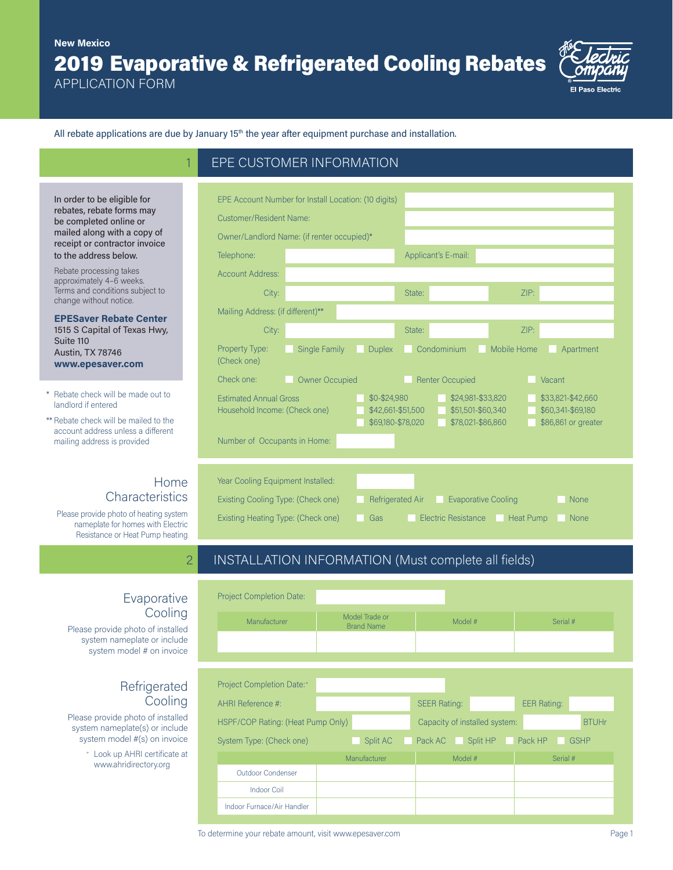# 2019 Evaporative & Refrigerated Cooling Rebates **New Mexico**

**EPE CUSTOMER INFORMATION** 

APPLICATION FORM

In order to be eligible for rebates, rebate forms may be completed online or mailed along with a copy of receipt or contractor invoice to the address below. Rebate processing takes approximately 4–6 weeks. Terms and conditions subject to change without notice.



All rebate applications are due by January  $15<sup>th</sup>$  the year after equipment purchase and installation.

| EPE Account Number for Install Location: (10 digits)                                                                     |                       |               |                                                             |                            |                                                               |             |
|--------------------------------------------------------------------------------------------------------------------------|-----------------------|---------------|-------------------------------------------------------------|----------------------------|---------------------------------------------------------------|-------------|
| Customer/Resident Name:                                                                                                  |                       |               |                                                             |                            |                                                               |             |
| Owner/Landlord Name: (if renter occupied)*                                                                               |                       |               |                                                             |                            |                                                               |             |
| Telephone:                                                                                                               |                       |               |                                                             | Applicant's E-mail:        |                                                               |             |
| <b>Account Address:</b>                                                                                                  |                       |               |                                                             |                            |                                                               |             |
| City:                                                                                                                    |                       |               | State:                                                      |                            | ZIP:                                                          |             |
| Mailing Address: (if different)**                                                                                        |                       |               |                                                             |                            |                                                               |             |
| City:                                                                                                                    |                       |               | State:                                                      |                            | ZIP:                                                          |             |
| Property Type:<br>(Check one)                                                                                            | Single Family         | <b>Duplex</b> |                                                             | Condominium                | Mobile Home                                                   | Apartment   |
| Check one:                                                                                                               | <b>Owner Occupied</b> |               |                                                             | <b>Renter Occupied</b>     |                                                               | Vacant      |
| <b>Fstimated Annual Gross</b><br>\$0-\$24,980<br>Household Income: (Check one)<br>\$42,661-\$51,500<br>\$69,180-\$78,020 |                       |               | \$24,981-\$33,820<br>\$51,501-\$60,340<br>\$78,021-\$86,860 |                            | \$33,821-\$42,660<br>\$60,341-\$69,180<br>\$86,861 or greater |             |
| Number of Occupants in Home:                                                                                             |                       |               |                                                             |                            |                                                               |             |
| Year Cooling Equipment Installed:                                                                                        |                       |               |                                                             |                            |                                                               |             |
| Existing Cooling Type: (Check one)<br><b>Refrigerated Air</b>                                                            |                       |               |                                                             | <b>Evaporative Cooling</b> |                                                               | <b>None</b> |
| Existing Heating Type: (Check one)<br>Gas                                                                                |                       |               |                                                             | Electric Resistance        | <b>Heat Pump</b>                                              | None        |

## 2 INSTALLATION INFORMATION (Must complete all fields)

#### Evaporative **Cooling**

Home

**Characteristics** 

Please provide photo of heating system nameplate for homes with Electric Resistance or Heat Pump heating

Please provide photo of installed system nameplate or include system model # on invoice

\* Rebate check will be made out to

**EPESaver Rebate Center**  1515 S Capital of Texas Hwy,

\*\* Rebate check will be mailed to the account address unless a different mailing address is provided

landlord if entered

Suite 110 Austin, TX 78746 **www.epesaver.com**

## Refrigerated Cooling

Please provide photo of installed system nameplate(s) or include system model #(s) on invoice

> <sup>+</sup> Look up AHRI certificate at www.ahridirectory.org

| <b>Project Completion Date:</b>   |                                     |                               |                        |  |
|-----------------------------------|-------------------------------------|-------------------------------|------------------------|--|
| Manufacturer                      | Model Trade or<br><b>Brand Name</b> | Model #                       | Serial #               |  |
|                                   |                                     |                               |                        |  |
|                                   |                                     |                               |                        |  |
| Project Completion Date:+         |                                     |                               |                        |  |
| AHRI Reference #:                 |                                     | <b>SEER Rating:</b>           | <b>EER Rating:</b>     |  |
| HSPF/COP Rating: (Heat Pump Only) |                                     | Capacity of installed system: | <b>BTUHr</b>           |  |
| System Type: (Check one)          | Split AC                            | Pack AC<br>Split HP           | Pack HP<br><b>GSHP</b> |  |
|                                   | Manufacturer                        | Model #                       | Serial #               |  |
| Outdoor Condenser                 |                                     |                               |                        |  |
| <b>Indoor Coil</b>                |                                     |                               |                        |  |
| Indoor Furnace/Air Handler        |                                     |                               |                        |  |